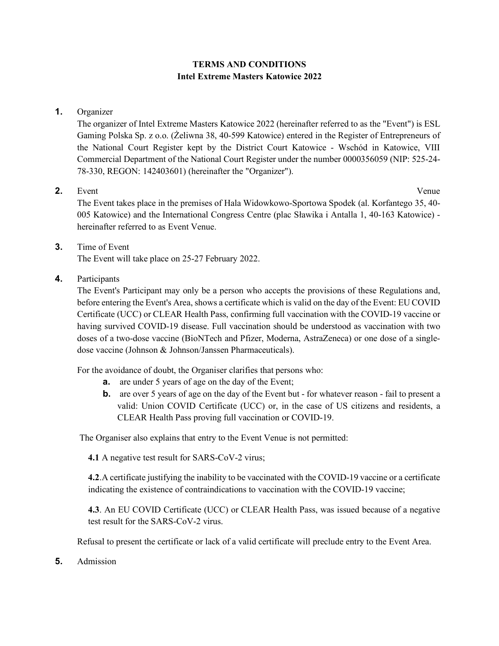# **TERMS AND CONDITIONS Intel Extreme Masters Katowice 2022**

**1.** Organizer

The organizer of Intel Extreme Masters Katowice 2022 (hereinafter referred to as the "Event") is ESL Gaming Polska Sp. z o.o. (Żeliwna 38, 40-599 Katowice) entered in the Register of Entrepreneurs of the National Court Register kept by the District Court Katowice - Wschód in Katowice, VIII Commercial Department of the National Court Register under the number 0000356059 (NIP: 525-24- 78-330, REGON: 142403601) (hereinafter the "Organizer").

## **2.** Event Venue

The Event takes place in the premises of Hala Widowkowo-Sportowa Spodek (al. Korfantego 35, 40- 005 Katowice) and the International Congress Centre (plac Sławika i Antalla 1, 40-163 Katowice) hereinafter referred to as Event Venue.

# **3.** Time of Event The Event will take place on 25-27 February 2022.

**4.** Participants

The Event's Participant may only be a person who accepts the provisions of these Regulations and, before entering the Event's Area, shows a certificate which is valid on the day of the Event: EU COVID Certificate (UCC) or CLEAR Health Pass, confirming full vaccination with the COVID-19 vaccine or having survived COVID-19 disease. Full vaccination should be understood as vaccination with two doses of a two-dose vaccine (BioNTech and Pfizer, Moderna, AstraZeneca) or one dose of a singledose vaccine (Johnson & Johnson/Janssen Pharmaceuticals).

For the avoidance of doubt, the Organiser clarifies that persons who:

- **a.** are under 5 years of age on the day of the Event;
- **b.** are over 5 years of age on the day of the Event but for whatever reason fail to present a valid: Union COVID Certificate (UCC) or, in the case of US citizens and residents, a CLEAR Health Pass proving full vaccination or COVID-19.

The Organiser also explains that entry to the Event Venue is not permitted:

**4.1** A negative test result for SARS-CoV-2 virus;

**4.2**.A certificate justifying the inability to be vaccinated with the COVID-19 vaccine or a certificate indicating the existence of contraindications to vaccination with the COVID-19 vaccine;

**4.3**. An EU COVID Certificate (UCC) or CLEAR Health Pass, was issued because of a negative test result for the SARS-CoV-2 virus.

Refusal to present the certificate or lack of a valid certificate will preclude entry to the Event Area.

**5.** Admission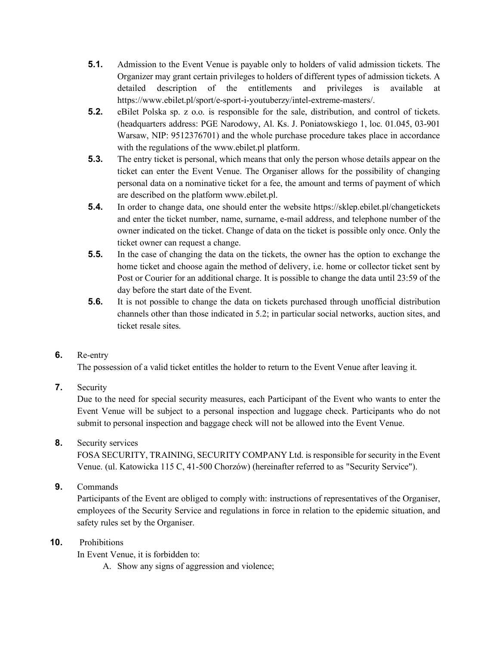- **5.1.** Admission to the Event Venue is payable only to holders of valid admission tickets. The Organizer may grant certain privileges to holders of different types of admission tickets. A detailed description of the entitlements and privileges is available at https://www.ebilet.pl/sport/e-sport-i-youtuberzy/intel-extreme-masters/.
- **5.2.** eBilet Polska sp. z o.o. is responsible for the sale, distribution, and control of tickets. (headquarters address: PGE Narodowy, Al. Ks. J. Poniatowskiego 1, loc. 01.045, 03-901 Warsaw, NIP: 9512376701) and the whole purchase procedure takes place in accordance with the regulations of the www.ebilet.pl platform.
- **5.3.** The entry ticket is personal, which means that only the person whose details appear on the ticket can enter the Event Venue. The Organiser allows for the possibility of changing personal data on a nominative ticket for a fee, the amount and terms of payment of which are described on the platform www.ebilet.pl.
- **5.4.** In order to change data, one should enter the website https://sklep.ebilet.pl/changetickets and enter the ticket number, name, surname, e-mail address, and telephone number of the owner indicated on the ticket. Change of data on the ticket is possible only once. Only the ticket owner can request a change.
- **5.5.** In the case of changing the data on the tickets, the owner has the option to exchange the home ticket and choose again the method of delivery, i.e. home or collector ticket sent by Post or Courier for an additional charge. It is possible to change the data until 23:59 of the day before the start date of the Event.
- **5.6.** It is not possible to change the data on tickets purchased through unofficial distribution channels other than those indicated in 5.2; in particular social networks, auction sites, and ticket resale sites.

# **6.** Re-entry

The possession of a valid ticket entitles the holder to return to the Event Venue after leaving it.

# **7.** Security

Due to the need for special security measures, each Participant of the Event who wants to enter the Event Venue will be subject to a personal inspection and luggage check. Participants who do not submit to personal inspection and baggage check will not be allowed into the Event Venue.

### **8.** Security services

FOSA SECURITY, TRAINING, SECURITY COMPANY Ltd. is responsible for security in the Event Venue. (ul. Katowicka 115 C, 41-500 Chorzów) (hereinafter referred to as "Security Service").

**9.** Commands

Participants of the Event are obliged to comply with: instructions of representatives of the Organiser, employees of the Security Service and regulations in force in relation to the epidemic situation, and safety rules set by the Organiser.

### **10.** Prohibitions

In Event Venue, it is forbidden to:

A. Show any signs of aggression and violence;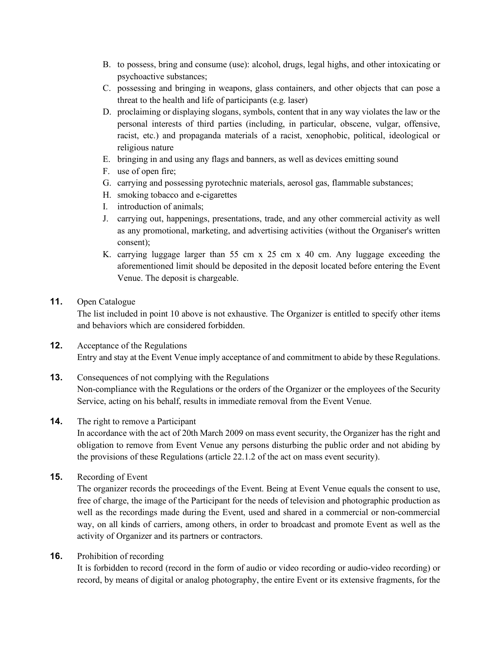- B. to possess, bring and consume (use): alcohol, drugs, legal highs, and other intoxicating or psychoactive substances;
- C. possessing and bringing in weapons, glass containers, and other objects that can pose a threat to the health and life of participants (e.g. laser)
- D. proclaiming or displaying slogans, symbols, content that in any way violates the law or the personal interests of third parties (including, in particular, obscene, vulgar, offensive, racist, etc.) and propaganda materials of a racist, xenophobic, political, ideological or religious nature
- E. bringing in and using any flags and banners, as well as devices emitting sound
- F. use of open fire;
- G. carrying and possessing pyrotechnic materials, aerosol gas, flammable substances;
- H. smoking tobacco and e-cigarettes
- I. introduction of animals;
- J. carrying out, happenings, presentations, trade, and any other commercial activity as well as any promotional, marketing, and advertising activities (without the Organiser's written consent);
- K. carrying luggage larger than 55 cm x 25 cm x 40 cm. Any luggage exceeding the aforementioned limit should be deposited in the deposit located before entering the Event Venue. The deposit is chargeable.

### **11.** Open Catalogue

The list included in point 10 above is not exhaustive. The Organizer is entitled to specify other items and behaviors which are considered forbidden.

- **12.** Acceptance of the Regulations Entry and stay at the Event Venue imply acceptance of and commitment to abide by these Regulations.
- **13.** Consequences of not complying with the Regulations

Non-compliance with the Regulations or the orders of the Organizer or the employees of the Security Service, acting on his behalf, results in immediate removal from the Event Venue.

#### **14.** The right to remove a Participant

In accordance with the act of 20th March 2009 on mass event security, the Organizer has the right and obligation to remove from Event Venue any persons disturbing the public order and not abiding by the provisions of these Regulations (article 22.1.2 of the act on mass event security).

**15.** Recording of Event

The organizer records the proceedings of the Event. Being at Event Venue equals the consent to use, free of charge, the image of the Participant for the needs of television and photographic production as well as the recordings made during the Event, used and shared in a commercial or non-commercial way, on all kinds of carriers, among others, in order to broadcast and promote Event as well as the activity of Organizer and its partners or contractors.

**16.** Prohibition of recording

It is forbidden to record (record in the form of audio or video recording or audio-video recording) or record, by means of digital or analog photography, the entire Event or its extensive fragments, for the